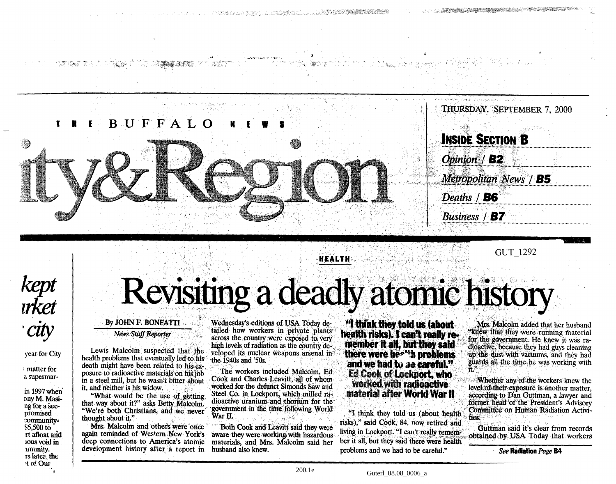

GUT 1292

## *kept irket city*

大学 立作 新学

#### year for City

t matter for a supermar-

in 1997 when ony M. Masing for a secpromised community- \$5,500 to TI afloat and IOUS void in lmunjty. rs later, the »t o£ Our

# Revisiting a deadly atomic history

**HEALTH**

#### By JOHN F. BONFATTI

*News Staff Reporter*

Lewis Malcolm suspected that the health problems that eventually led to his death might have been related to his exposure to radioactive materials on his job in a steel mill, but he wasn't bitter about it, and neither is his widow.

"What would be the use of getting that way about it?" asks Betty Malcolm. "We're both Christians, and we never thought about it."

Mrs. Malcolm and others were once again reminded of Western Mew York's deep connections to America's atomic development history after a report in

Wednesday's editions of USA Today detailed how workers in private plants across the country were exposed to very high levels of radiation as the country developed its nuclear weapons arsenal in the 1940s and '50s.

The workers included Malcolm, Ed Cook and Charies Leavitt, all of whom worked for the defunct Simonds Saw and Steel Co. in Lockport, which milled radioactive uranium and thorium for the government in the time following World War II.

Both Cook and Leavitt said they were aware they were working with hazardous materials, and Mrs. Malcolm said her husband also knew.

**"I think they told us (about health risks). I can't really re member ft all, but they said there were he\*"\*h problems and we had to be careful." Ed Cook of Lodqiort, who worked with radioactive material after World War II**

"I think they told us (about health risks)," said Cook, 84. now retired and living in Lockport. "I can't really remember it all, but they said there were health problems and we had to be careful."

Mrs. Malcolm added that her husband "knew that they were running material for the government. He knew it was radioactive, because they had guys cleaning up the dust with vacuums, and they had guards all the time he was working with it."

Whether any of the workers knew the level of their exposure is another matter, according to Dan Guttman, a lawyer and former head of the President's Advisory Committee on Human Radiation Activities.

Guttman said it's clear from records obtained by USA Today that workers

*See* **Radiation** *Page* **B4**